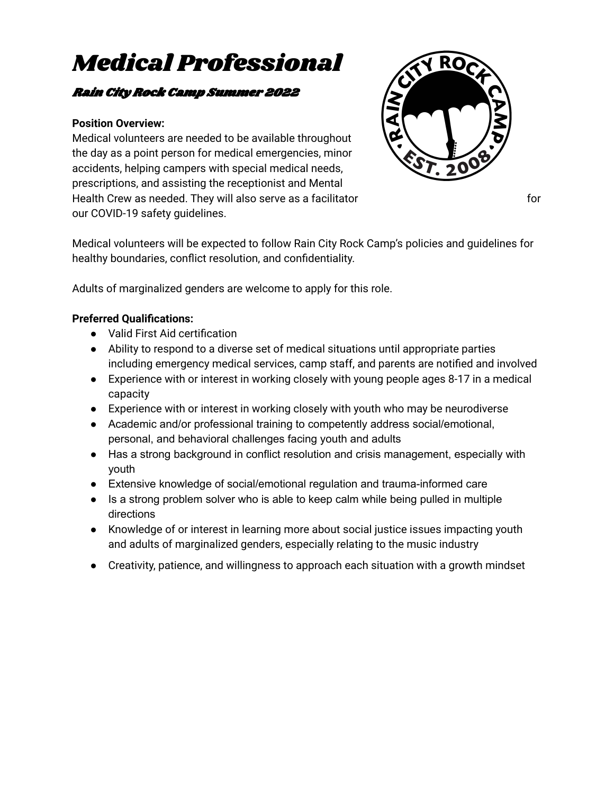# Medical Professional

# Rain City Rock Camp Summer 2022

#### **Position Overview:**

Medical volunteers are needed to be available throughout the day as a point person for medical emergencies, minor accidents, helping campers with special medical needs, prescriptions, and assisting the receptionist and Mental Health Crew as needed. They will also serve as a facilitator for for for our COVID-19 safety guidelines.



Medical volunteers will be expected to follow Rain City Rock Camp's policies and guidelines for healthy boundaries, conflict resolution, and confidentiality.

Adults of marginalized genders are welcome to apply for this role.

## **Preferred Qualifications:**

- Valid First Aid certification
- Ability to respond to a diverse set of medical situations until appropriate parties including emergency medical services, camp staff, and parents are notified and involved
- Experience with or interest in working closely with young people ages 8-17 in a medical capacity
- Experience with or interest in working closely with youth who may be neurodiverse
- Academic and/or professional training to competently address social/emotional, personal, and behavioral challenges facing youth and adults
- Has a strong background in conflict resolution and crisis management, especially with youth
- Extensive knowledge of social/emotional regulation and trauma-informed care
- Is a strong problem solver who is able to keep calm while being pulled in multiple directions
- Knowledge of or interest in learning more about social justice issues impacting youth and adults of marginalized genders, especially relating to the music industry
- Creativity, patience, and willingness to approach each situation with a growth mindset